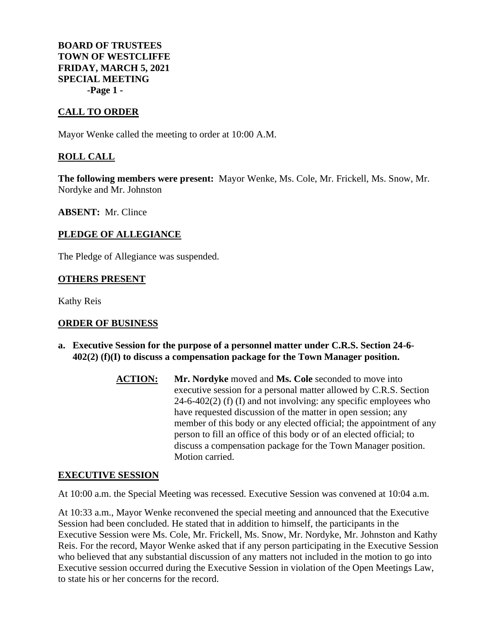**BOARD OF TRUSTEES TOWN OF WESTCLIFFE FRIDAY, MARCH 5, 2021 SPECIAL MEETING -Page 1 -**

# **CALL TO ORDER**

Mayor Wenke called the meeting to order at 10:00 A.M.

# **ROLL CALL**

**The following members were present:** Mayor Wenke, Ms. Cole, Mr. Frickell, Ms. Snow, Mr. Nordyke and Mr. Johnston

**ABSENT:** Mr. Clince

# **PLEDGE OF ALLEGIANCE**

The Pledge of Allegiance was suspended.

### **OTHERS PRESENT**

Kathy Reis

# **ORDER OF BUSINESS**

- **a. Executive Session for the purpose of a personnel matter under C.R.S. Section 24-6- 402(2) (f)(I) to discuss a compensation package for the Town Manager position.**
	- **ACTION:** Mr. Nordyke moved and Ms. Cole seconded to move into executive session for a personal matter allowed by C.R.S. Section  $24-6-402(2)$  (f) (I) and not involving: any specific employees who have requested discussion of the matter in open session; any member of this body or any elected official; the appointment of any person to fill an office of this body or of an elected official; to discuss a compensation package for the Town Manager position. Motion carried.

#### **EXECUTIVE SESSION**

At 10:00 a.m. the Special Meeting was recessed. Executive Session was convened at 10:04 a.m.

At 10:33 a.m., Mayor Wenke reconvened the special meeting and announced that the Executive Session had been concluded. He stated that in addition to himself, the participants in the Executive Session were Ms. Cole, Mr. Frickell, Ms. Snow, Mr. Nordyke, Mr. Johnston and Kathy Reis. For the record, Mayor Wenke asked that if any person participating in the Executive Session who believed that any substantial discussion of any matters not included in the motion to go into Executive session occurred during the Executive Session in violation of the Open Meetings Law, to state his or her concerns for the record.